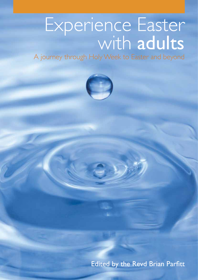# Experience Easter with adults

A journey through Holy Week to Easter and beyond



Edited by the Revd Brian Parfitt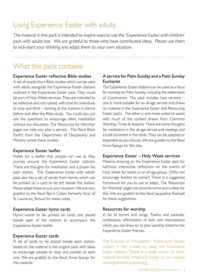### Using Experience Easter with adults

The material in this pack is intended to inspire ways to use the 'Experience Easter with children' pack with adults too. We are grateful to those who have contributed ideas. Please use them to kick-start your thinking and adapt them to your own situation.

### What this pack contains:

#### Experience Easter reflective Bible studies

A set of simple short Bible studies which can be used with adults alongside the Experience Easter stations outlined in the Experience Easter pack. They could be part of Holy Week services. They are intended to be reflective and not rushed, with time for individuals to stop and think – looking at the stations in silence before and after the Bible study. You could also just use the questions to encourage silent meditation without any discussion. The 'Resources for Worship' pages can help you plan a service. The Revd Brian Parfitt from the Department of Discipleship and Ministry wrote these studies.

#### Experience Easter leaflet

Notes for a leaflet that people can use as they journey around the Experience Easter stations. There are thoughts for meditation and a prayer for each station. The 'Experience Easter with adults' pack also has a set of verses from hymns which can be printed on a card to be left beside the station. Please adapt these to suit your situation. We are very grateful to the Revd Barry Coker, formerly Vicar of St Lawrence, Stroud for these notes.

#### Experience Easter hymn cards

Hymn words to be printed on cards and placed beside each of the stations to accompany the Experience Easter leaflet.

### Experience Easter cards

A set of cards to be placed beside each station, based on the material in the original pack with ideas to encourage people to stop and ponder at each one. We are grateful to the Revd Anne Spargo for this material.

### A service for Palm Sunday and a Palm Sunday Eucharist

The Experience Easter stations can be used as a focus for worship on Palm Sunday, including the celebration of Communion. This pack includes two versions – one is more suitable for an all-age service and draws on material in the Experience Easter and Resourcing Easter packs. The other is one more suited to adults with much of the content drawn from Common Worship: Times & Seasons. There are some thoughts for meditation in the all-age service and readings and a brief comment in the other. They can be adapted or expanded as you choose. We are grateful to the Revd Anne Spargo for this idea.

### Experience Easter – Holy Week services

Material drawing on the Experience Easter pack for half-hour interactive reflections on the events of Holy Week for adults or an all-age group. (Why not encourage families to come?) There is a suggested framework for you to use or adapt. The 'Resources for Worship' pages can provide some extra ideas for this. We are grateful to the Revd Jacqueline Rodwell for these suggestions.

### Resources for worship

A list of hymns and songs, Psalms and canticles, confessions, affirmations of faith and intercessions which you can draw on to plan worship linked to the Experience Easter themes.

The Diocese of Gloucester's 'Experience Easter' project is not limited to using the Experience Easter stations. There is a wide variety of other material for Holy Week and Easter on the website www.gloucester.anglican.org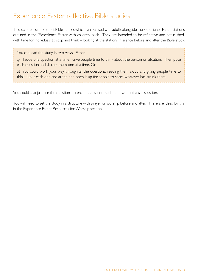This is a set of simple short Bible studies which can be used with adults alongside the Experience Easter stations outlined in the 'Experience Easter with children' pack. They are intended to be reflective and not rushed, with time for individuals to stop and think – looking at the stations in silence before and after the Bible study.

You can lead the study in two ways. Either

a) Tackle one question at a time. Give people time to think about the person or situation. Then pose each question and discuss them one at a time. Or

b) You could work your way through all the questions, reading them aloud and giving people time to think about each one and at the end open it up for people to share whatever has struck them.

You could also just use the questions to encourage silent meditation without any discussion.

You will need to set the study in a structure with prayer or worship before and after. There are ideas for this in the Experience Easter Resources for Worship section.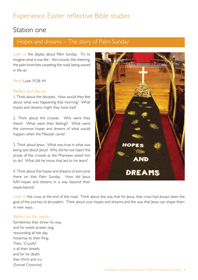### Station one

### Hopes and dreams – The story of Palm Sunday

*Look at* the display about Palm Sunday. Try to imagine what it was like – the crowds, the cheering, the palm branches carpeting the road, being waved in the air.

*Read* Luke 19.28-44

### *Reflect and discuss*

1. Think about the disciples. How would they feel about what was happening that morning? What hopes and dreams might they have had?

2. Think about the crowds. Why were they there? What were their feelings? What were the common hopes and dreams of what would happen when the Messiah came?

3. Think about Jesus. What was true in what was being said about Jesus? Why did he not reject the praise of the crowds as the Pharisees asked him to do? What did he know that led to his tears?

4. Think about the hopes and dreams of everyone there on that Palm Sunday. How did Jesus fulfil hopes and dreams in a way beyond their expectations?

НОРЕ **AND DREAMS** 

*Look at* the cross at the end of the road. Think about the way that for Jesus, that cross had always been the goal of the journey to Jerusalem. Think about your hopes and dreams and the way that Jesus can shape them in new ways.

### *Reflect on the words:*

Sometimes they strew his way, and his sweet praises sing; resounding all the day, hosannas to their King, Then, 'Crucify!' is all their breath, and for his death they thirst and cry. *(Samuel Crossman)*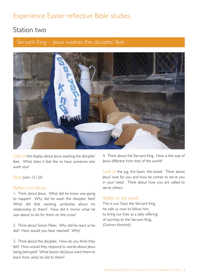### Station two

### Servant King – Jesus washes the disciples' feet



Look *at* the display about Jesus washing the disciples' feet. What does it feel like to have someone else wash you?

*Read* John 13.1-20

#### *Reflect and discuss*

1. Think about Jesus. What did he know was going to happen? Why did he wash the disciples' feet? What did that washing symbolise about his relationship to them? How did it mirror what he was about to do for them on the cross?

2. Think about Simon Peter. Why did he react as he did? How would you have reacted? Why?

3. Think about the disciples. How do you think they felt? How would they respond to words about Jesus being betrayed? What lesson did Jesus want them to learn from what he did to them?

4. Think about the Servant King. How is the way of Jesus different from that of the world?

*Look at* the jug, the basin, the towel. Think about Jesus' love for you and how he comes to serve you in your need. Think about how you are called to serve others.

### *Reflect on the words:*

This is our God, the Servant King he calls us now to follow him, to bring our lives as a daily offering of worship to the Servant King. *(Graham Kendrick)*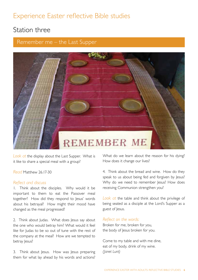### Station three

### Remember me – the Last Supper



*Look at* the display about the Last Supper. What is it like to share a special meal with a group?

*Read* Matthew 26.17-30

#### *Reflect and discuss*

1. Think about the disciples. Why would it be important to them to eat the Passover meal together? How did they respond to Jesus' words about his betrayal? How might their mood have changed as the meal progressed?

2. Think about Judas. What does Jesus say about the one who would betray him? What would it feel like for Judas to be so out of tune with the rest of the company at the meal? How are we tempted to betray Jesus?

3. Think about Jesus. How was Jesus preparing them for what lay ahead by his words and actions?

What do we learn about the reason for his dying? How does it change our lives?

4. Think about the bread and wine. How do they speak to us about being fed and forgiven by Jesus? Why do we need to remember Jesus? How does receiving Communion strengthen you?

*Look at* the table and think about the privilege of being seated as a disciple at the Lord's Supper as a guest of Jesus.

#### *Reflect on the words:*

Broken for me, broken for you, the body of Jesus broken for you.

Come to my table and with me dine, eat of my body, drink of my wine. *(Janet Lunt)*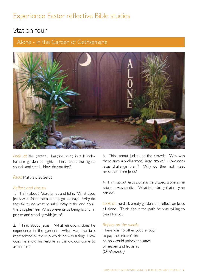### Station four

### Alone - in the Garden of Gethsemane



*Look at* the garden. Imagine being in a Middle-Eastern garden at night. Think about the sights, sounds and smell. How do you feel?

*Read* Matthew 26.36-56

#### *Reflect and discuss*

1. Think about Peter, James and John. What does Jesus want from them as they go to pray? Why do they fail to do what he asks? Why in the end do all the disciples flee? What prevents us being faithful in prayer and standing with Jesus?

2. Think about Jesus. What emotions does he experience in the garden? What was the task represented by the cup which he was facing? How does he show his resolve as the crowds come to arrest him?

3. Think about Judas and the crowds. Why was there such a well-armed, large crowd? How does Jesus challenge them? Why do they not meet resistance from Jesus?

4. Think about Jesus alone as he prayed, alone as he is taken away captive. What is he facing that only he can do?

*Look at* the dark empty garden and reflect on Jesus all alone. Think about the path he was willing to tread for you.

#### *Reflect on the words:*

There was no other good enough to pay the price of sin; he only could unlock the gates of heaven and let us in. *(CF Alexander)*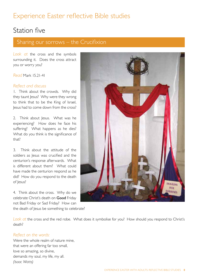### Station five

### Sharing our sorrows – the Crucifixion

*Look at* the cross and the symbols surrounding it. Does the cross attract you or worry you?

*Read* Mark 15.21-41

### *Reflect and discuss*

1. Think about the crowds. Why did they taunt Jesus? Why were they wrong to think that to be the King of Israel, Jesus had to come down from the cross?

2. Think about Jesus. What was he experiencing? How does he face his suffering? What happens as he dies? What do you think is the significance of that?

3. Think about the attitude of the soldiers as lesus was crucified and the centurion's response afterwards. What is different about them? What could have made the centurion respond as he did? How do you respond to the death of lesus?

4. Think about the cross. Why do we celebrate Christ's death on Good Friday not Bad Friday or Sad Friday? How can

**SHARING** OUR **SORROWS** 

the death of Jesus be something to celebrate?

*Look at* the cross and the red robe. What does it symbolise for you? How should you respond to Christ's death?

### *Reflect on the words:*

Were the whole realm of nature mine, that were an offering far too small, love so amazing, so divine, demands my soul, my life, my all. *(Isaac Watts)*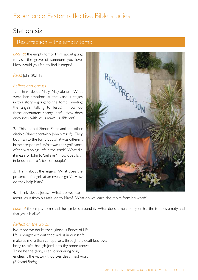### Station six

### Resurrection – the empty tomb

*Look at* the empty tomb. Think about going to visit the grave of someone you love. How would you feel to find it empty?

*Read* John 20.1-18

### *Reflect and discuss*

1. Think about Mary Magdalene. What were her emotions at the various stages in this story - going to the tomb, meeting the angels, talking to Jesus? How do these encounters change her? How does encounter with Jesus make us different?

2. Think about Simon Peter and the other disciple (almost certainly John himself). They both ran to the tomb but what was different in their responses? What was the significance of the wrappings left in the tomb? What did it mean for John to 'believe'? How does faith in Jesus need to 'click' for people?

3. Think about the angels. What does the presence of angels at an event signify? How do they help Mary?

4. Think about Jesus. What do we learn

about Jesus from his attitude to Mary? What do we learn about him from his words?

*Look at* the empty tomb and the symbols around it. What does it mean for you that the tomb is empty and that lesus is alive?

### *Reflect on the words:*

No more we doubt thee, glorious Prince of Life; life is nought without thee: aid us in our strife; make us more than conquerors, through thy deathless love: bring us safe through Jordan to thy home above. Thine be the glory, risen, conquering Son, endless is the victory thou o'er death hast won. *(Edmond Budry)*

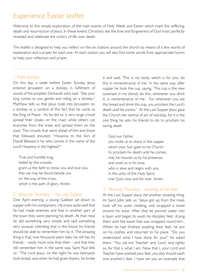### Experience Easter leaflet

Welcome to this simple exploration of the main events of Holy Week and Easter which mark the suffering, death and resurrection of Jesus. In these events Christians see the love and forgiveness of God most perfectly revealed and celebrate the victory of life over death.

This leaflet is designed to help you reflect on the six stations around the church by means of a few words of explanation and a prayer for each one. At each station you will also find some words from appropriate hymns to help your reflection and prayer.

### *1. Palm Sunday*

On this day, a week before Easter Sunday, Jesus entered Jerusalem on a donkey in fulfilment of words of the prophet Zechariah who said: "See your king comes to you gentle and riding on a donkey." Matthew tells us that Jesus rode into Jerusalem on a donkey as a symbol of the fact that he came as the King of Peace. As he did so 'a very large crowd spread their cloaks on the road, while others cut branches from the trees and spread them on the road. The crowds that went ahead of him and those that followed shouted: "Hosanna to the Son of David! Blessed is he who comes in the name of the Lord! Hosanna in the highest!"'

True and humble king, hailed by the crowds: grant us the faith to know you and love you, that we may be found beside you on the way of the cross, which is the path of glory. Amen.

### *2. Maundy Thursday – the Last Supper*

One April evening, a young Galilean sat down to supper with his companions. He knew quite well that he had made enemies and that in another part of the town they were planning his death. At that meal he did something very simple and said something very unusual, intending that in the future his friends should be able to remember him by it. The amazing thing is that, two thousand years later, he still has his friends – vastly more now than then – and that they still remember him in the same way. Saint Paul tells us: "The Lord Jesus, on the night he was betrayed, took bread, and when he had given thanks, he broke

it and said, 'This is my body, which is for you; do this in remembrance of me.' In the same way, after supper he took the cup, saying, 'This cup is the new covenant in my blood; do this, whenever you drink it, in remembrance of me.' For whenever you eat this bread and drink this cup, you proclaim the Lord's death until he comes." At the Last Supper Jesus gave the Church her central of act of worship, for it is the one thing he asks his friends to do to proclaim his saving death.

God our Father,

you invite us to share in the supper which your Son gave to his Church to proclaim his death until he comes: may he nourish us by his presence, and unite us in his love; who is alive and reigns with you, in the unity of the Holy Spirit, one God, now and for ever. Amen.

### *3. Maundy Thursday – washing of the feet*

At the Last Supper Jesus did another amazing thing. As Saint John tells us: "Jesus got up from the meal, took off his outer clothing, and wrapped a towel around his waist. After that he poured water into a basin and began to wash his disciples' feet, drying them with the towel that was wrapped round him... When he had finished washing their feet, he put on his clothes and returned to his place. "Do you understand what I have done for you?" he asked them. "You call me 'Teacher' and 'Lord', and rightly so, for that is what I am. Now that I, your Lord and Teacher have washed your feet, you also should wash one another's feet. I have set you an example that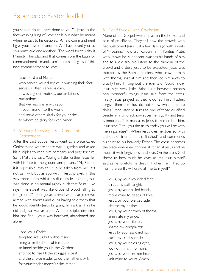### Experience Easter leaflet

you should do as I have done to you."' Jesus as the foot-washing King of Love spells out what he means when he says to his disciples: "A new commandment I give you: Love one another. As I have loved you, so you must love one another." The word for this day is Maundy Thursday and that comes from the Latin for commandment "mandatum" – reminding us of this new commandment to love.

Jesus Lord and Master,

who served your disciples in washing their feet: serve us often, serve us daily, in washing our motives, our ambitions, our actions; that we may share with you in your mission to the world and serve others gladly for your sake; to whom be glory for ever. Amen.

### *4. Maundy Thursday – the Garden of Gethsemane*

After the Last Supper Jesus went to a place called Gethsemane where there was a garden and asked his disciples to keep him company and pray for him. Saint Matthew says: 'Going a little further Jesus fell with his face to the ground and prayed, "My Father, if it is possible, may this cup be taken from me. Yet not as I will, but as you will."' Jesus prayed in this way three times whilst his disciples fell asleep. Jesus was alone in his mental agony, such that Saint Luke says: "His sweat was like drops of blood falling to the ground." Then Judas arrived with a large crowd armed with swords and clubs having told them that he would identify Jesus by giving him a kiss. This he did and Jesus was arrested. All the disciples deserted him and fled. Jesus was betrayed, abandoned and alone.

Lord Jesus Christ. tempted like us but without sin: bring us in the hour of temptation to kneel beside you in the Garden; and not to rise till the struggle is past and the choice made, to do the Father's will; for your tender mercy's sake. Amen.

### *5. Good Friday – the Crucifixion*

None of the Gospel writers play on the horror and pain of crucifixion. They tell how the crowds who had welcomed Jesus just a few days ago with shouts of "Hosanna" now cry "Crucify him". Pontius Pilate, who knows he is innocent, washes his hands of him and to avoid trouble listens to the clamour of the crowd and orders Jesus to be executed. Jesus was mocked by the Roman soldiers, who crowned him with thorns, spat at him and then led him away to crucify him. Throughout the events of Good Friday Jesus says very little, Saint Luke however records two wonderful things lesus said from the cross. Firstly Jesus prayed as they crucified him: "Father, forgive them for they do not know what they are doing." And later he turns to one of those crucified beside him, who acknowledges he is guilty and Jesus is innocent. This man asks Jesus to remember him. Jesus says: "I tell you the truth, today you will be with me in paradise". When Jesus dies he does so with a shout of triumph, "It is finished" and commends his spirit to his heavenly Father. The cross becomes the place where evil throws all it can at Jesus and he meets it with forgiveness and love. On the cross God shows us how much he loves us. As lesus himself said as he foretold his death: "I when I am lifted up from the earth, will draw all me to myself".

Jesus, by your wounded feet, direct my path aright: Jesus, by your nailed hands, move mine to deeds of love: Jesus, by your pierced side, cleanse my desires: Jesus, by your crown of thorns, annihilate my pride: Jesus, by your silence, shame my complaints: Jesus by your parched lips, curb my cruel speech: Jesus, by your closing eyes, look on my sin no more: Jesus, by your broken heart, knit mine to yours. Amen.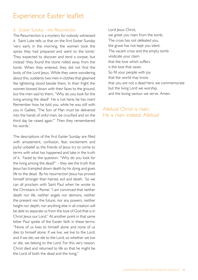### Experience Easter leaflet

#### *6. Easter Sunday - the Resurrection*

The Resurrection is a mystery for nobody witnessed it. Saint Luke tells us that on the first Easter Sunday 'very early in the morning, the women took the spices they had prepared and went to the tomb.' They expected to discover and tend a corpse, but instead 'they found the stone rolled away from the tomb. When they entered, they did not find the body of the Lord Jesus. While they were wondering about this, suddenly two men in clothes that gleamed like lightening stood beside them. In their fright the women bowed down with their faces to the ground, but the men said to them, "Why do you look for the living among the dead? He is not here; he has risen! Remember how he told you, while he was still with you in Galilee, 'The Son of Man must be delivered into the hands of sinful men, be crucified and on the third day be raised again.'" Then they remembered his words.'

The descriptions of the first Easter Sunday are filled with amazement, confusion, fear, excitement and joyful unbelief as the friends of Jesus try to come to terms with what has happened and take in the truth of it. Faced by the question: "Why do you look for the living among the dead?" – they see the truth that Jesus has trampled down death by his dying and gives life to the dead. By his resurrection Jesus has proved himself stronger than hatred, evil and death. So we can all proclaim with Saint Paul when he wrote to the Christians in Rome: "I am convinced that neither death nor life, neither angels nor demons, neither the present nor the future, nor any powers, neither height nor depth, nor anything else in all creation will be able to separate us from the love of God that is in Christ Jesus our Lord." At another point in that same letter Paul spoke of the Easter faith in these terms: "None of us lives to himself alone and none of us dies to himself alone. If we live, we live to the Lord; and if we die, we die to the Lord, so whether we live or die, we belong to the Lord. For this very reason, Christ died and returned to life so that he might be the Lord of both the dead and the living."

Lord Jesus Christ, we greet you risen from the tomb. The cross has not defeated you, the grave has not kept you silent. The vacant cross and the empty tomb vindicate your claim that the love which suffers is the love that saves. So fill your people with joy that the world may know that you are not a dead hero we commemorate but the living Lord we worship, and the loving saviour we serve. Amen.

### Alleluia! Christ is risen. He is risen indeed. Alleluia!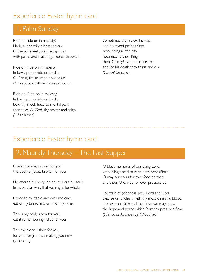## Experience Easter hymn card

### 1. Palm Sunday

Ride on ride on in majesty! Hark, all the tribes hosanna cry; O Saviour meek, pursue thy road with palms and scatter garments strowed.

Ride on, ride on in majesty! In lowly pomp ride on to die: O Christ, thy triumph now begin o'er captive death and conquered sin.

Ride on. Ride on in majesty! In lowly pomp ride on to die; bow thy meek head to mortal pain, then take, O, God, thy power and reign. *(H.H Milman)*

Sometimes they strew his way, and his sweet praises sing: resounding all the day hosannas to their King: then 'Crucify!' is all their breath, and for his death they thirst and cry. *(Samuel Crossman)*

# Experience Easter hymn card

## 2. Maundy Thursday – The Last Supper

Broken for me, broken for you, the body of Jesus, broken for you.

He offered his body, he poured out his soul: Jesus was broken, that we might be whole.

Come to my table and with me dine; eat of my bread and drink of my wine.

This is my body given for you: eat it remembering I died for you.

This my blood I shed for you, for your forgiveness, making you new. *(Janet Lunt)*

O blest memorial of our dying Lord, who living bread to men doth here afford; O may our souls for ever feed on thee, and thou, O Christ, for ever precious be.

Fountain of goodness, Jesu, Lord and God, cleanse us, unclean, with thy most cleansing blood; increase our faith and love, that we may know the hope and peace which from thy presence flow. *(St Thomas Aquinas tr. J.R.Woodford)*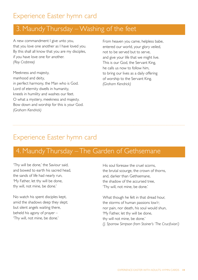# Experience Easter hymn card

### 3. Maundy Thursday – Washing of the feet

A new commandment I give unto you, that you love one another as I have loved you. By this shall all know that you are my disciples, if you have love one for another. *(Roy Crabtree)*

Meekness and majesty, manhood and deity, in perfect harmony, the Man who is God. Lord of eternity dwells in humanity, kneels in humility and washes our feet. O what a mystery, meekness and majesty. Bow down and worship for this is your God. *(Graham Kendrick)*

From heaven you came, helpless babe, entered our world, your glory veiled, not to be served but to serve, and give your life that we might live. This is our God, the Servant King, he calls us now to follow him, to bring our lives as a daily offering of worship to the Servant King. *(Graham Kendrick)*

### Experience Easter hymn card

### 4. Maundy Thursday – The Garden of Gethsemane

'Thy will be done,' the Saviour said, and bowed to earth his sacred head, the sands of life had nearly run, 'My Father, let thy will be done, thy will, not mine, be done.'

No watch his spent disciples kept, amid the shadows deep they slept; but silent angels waiting there, beheld his agony of prayer – 'Thy will, not mine, be done.'

His soul foresaw the cruel scorns, the brutal scourge, the crown of thorns, and, darker than Gethsemane, the shadow of the accursed tree, 'Thy will, not mine, be done.'

What though he felt in that dread hour, the storms of human passions low'r; nor pain, nor death, his soul would shun, 'My Father, let thy will be done, thy will not mine, be done.' *(J. Sparrow Simpson from Stainer's 'The Crucifixion')*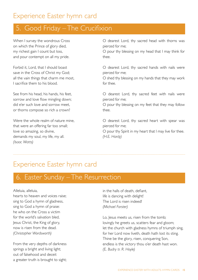## Experience Easter hymn card

### 5. Good Friday – The Crucifixion

When I survey the wondrous Cross on which the Prince of glory died, my richest gain I count but loss, and pour contempt on all my pride.

Forbid it, Lord, that I should boast save in the Cross of Christ my God; all the vain things that charm me most, I sacrifice them to his blood.

See from his head, his hands, his feet, sorrow and love flow mingling down; did e'er such love and sorrow meet, or thorns compose so rich a crown?

Were the whole realm of nature mine, that were an offering far too small; love so amazing, so divine, demands my soul, my life, my all. *(Isaac Watts)*

O dearest Lord, thy sacred head with thorns was pierced for me;

O pour thy blessing on my head that I may think for thee.

O dearest Lord, thy sacred hands with nails were pierced for me;

O shed thy blessing on my hands that they may work for thee.

O dearest Lord, thy sacred feet with nails were pierced for me;

O pour thy blessing on my feet that they may follow thee.

O dearest Lord, thy sacred heart with spear was pierced for me;

O pour thy Spirit in my heart that I may live for thee. *(H.E. Hardy)*

# Experience Easter hymn card

### 6. Easter Sunday – The Resurrection

#### Alleluia, alleluia,

hearts to heaven and voices raise; sing to God a hymn of gladness, sing to God a hymn of praise: he who on the Cross a victim for the world's salvation bled, Jesus Christ, the King of glory, now is risen from the dead. *(Christopher Wordsworth)*

From the very depths of darkness springs a bright and living light; out of falsehood and deceit a greater truth is brought to sight; in the halls of death, defiant, life is dancing with delight! The Lord is risen indeed! *(Michael Forster)*

Lo, Jesus meets us, risen from the tomb; lovingly he greets us, scatters fear and gloom; let the church with gladness hymns of triumph sing, for her Lord now liveth, death hath lost its sting. Thine be the glory, risen, conquering Son, endless is the victory thou o'er death hast won. *(E. Budry tr. R. Hoyle)*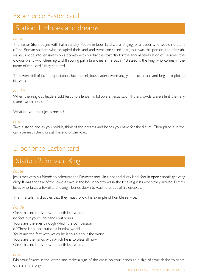# Experience Easter card

### Station 1: Hopes and dreams

#### *Pause*

The Easter Story begins with Palm Sunday. People in Jesus' land were longing for a leader who would rid them of the Roman soldiers who occupied their land and were convinced that Jesus was this person, the Messiah. As Jesus rode into Jerusalem on a donkey with his disciples that day for the annual celebration of Passover, the crowds went wild, cheering and throwing palm branches in his path. "Blessed is the king who comes in the name of the Lord," they shouted.

They were full of joyful expectation, but the religious leaders were angry and suspicious and began to plot to kill Jesus.

### *Ponder*

When the religious leaders told Jesus to silence his followers, Jesus said, 'If the crowds were silent the very stones would cry out.'

What do you think Jesus meant?

### *Pray*

Take a stone and as you hold it, think of the dreams and hopes you have for the future. Then place it in the cairn beneath the cross at the end of the road.

### Experience Easter card

# Station 2: Servant King

#### *Pause*

Jesus met with his friends to celebrate the Passover meal. In a hot and dusty land, feet in open sandals get very dirty. It was the task of the lowest slave in the household to wash the feet of guests when they arrived. But it's Jesus who takes a towel and lovingly bends down to wash the feet of his disciples.

Then he tells his disciples that they must follow his example of humble service.

### *Ponder*

Christ has no body now on earth but yours, no feet but yours, no hands but yours. Yours are the eyes through which the compassion of Christ is to look out on a hurting world. Yours are the feet with which he is to go about the world. Yours are the hands with which he is to bless all now. Christ has no body now on earth but yours.

### *Pray*

Dip your fingers in the water and make a sign of the cross on your hands as a sign of your desire to serve others in this way.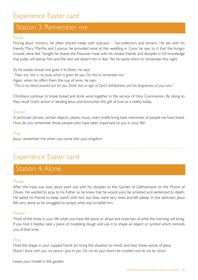# Experience Easter card

### Station 3: Remember me

#### *Pause*

During Jesus' ministry, he often shared meals with outcasts – 'tax-collectors and sinners'. He ate with his friends Mary, Martha and Lazarus; he provided wine at the wedding in Cana; he saw to it that the hungry crowds were fed. Tonight he shares the Passover meal with his closest friends and disciples in full knowledge that Judas will betray him and the rest will desert him in fear. Yet he wants them to remember this night.

As he breaks bread and gives it to them, he says: *"Take, eat, this is my body which is given for you. Do this to remember me."* Again, when he offers them the cup of wine, he says: *"This is my blood poured out for you. Drink this as sign of God's faithfulness and his forgiveness of your sins."*

Christians continue to break bread and drink wine together in the service of Holy Communion. By doing so they recall God's action in sending Jesus and encounter this gift of love as a reality today.

#### *Ponder*

A particular phrase, certain objects, places, music, even smells bring back memories of people we have loved. How do you remember those people who have been important to you in your life?

### *Pray*

Jesus, remember me when you come into your kingdom.

### Experience Easter card

### Station 4: Alone

#### *Pause*

After the meal was over, Jesus went out with his disciples to the Garden of Gethsemane on the Mount of Olives. He wanted to pray to his Father as he knew that he would soon be arrested and sentenced to death. He asked his friends to keep watch with him, but they were very tired and fell asleep. In the darkness, Jesus felt very alone as he struggled to accept what was to befall him.

### *Ponder*

Think of the times in your life when you have felt alone or afraid and uncertain of what the morning will bring. If you find it helpful, take a piece of modelling dough and use it to shape an object or symbol which reminds you of that time.

### *Pray*

Hold the shape in your cupped hands (or bring the situation to mind) and hear these words of Jesus *Peace I leave with you; my peace I give to you. Do not let your hearts be troubled and do not be afraid.*

Leave your model in the garden.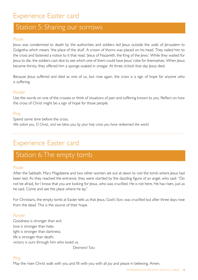# Experience Easter card

### Station 5: Sharing our sorrows

#### *Pause*

Jesus was condemned to death by the authorities and soldiers led Jesus outside the walls of Jerusalem to Golgotha which means 'the place of the skull'. A crown of thorns was placed on his head. They nailed him to the cross and fastened a notice to it that read, 'Jesus of Nazareth, the King of the Jews.' While they waited for Jesus to die, the soldiers cast dice to see which one of them could have Jesus' robe for themselves. When Jesus became thirsty, they offered him a sponge soaked in vinegar. At three o'clock that day Jesus died.

Because Jesus suffered and died as one of us, but rose again, the cross is a sign of hope for anyone who is suffering.

### *Ponder*

Use the words on one of the crosses or think of situations of pain and suffering known to you. Reflect on how the cross of Christ might be a sign of hope for those people.

### *Pray*

Spend some time before the cross. *We adore you, O Christ, and we bless you; by your holy cross you have redeemed the world.*

## Experience Easter card

### Station 6: The empty tomb

#### *Pause*

After the Sabbath, Mary Magdalene and two other women set out at dawn to visit the tomb where Jesus had been laid. As they reached the entrance, they were startled by the dazzling figure of an angel, who said: "Do not be afraid, for I know that you are looking for Jesus, who was crucified. He is not here. He has risen, just as he said. Come and see the place where he lay."

For Christians, the empty tomb at Easter tells us that Jesus, God's Son, was crucified but after three days rose from the dead. This is the source of their hope.

### *Ponder*

Goodness is stronger than evil; love is stronger than hate; light is stronger than darkness; life is stronger than death; victory is ours through him who loved us.

*Desmond Tutu*

### *Pray*

May the risen Christ walk with you and fill with you with all joy and peace in believing. Amen.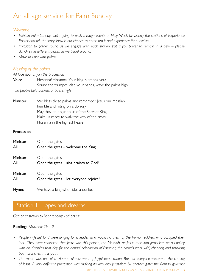### *Welcome*

- *• Explain Palm Sunday: we're going to walk through events of Holy Week by visiting the stations of Experience Easter and tell the story. Now is our chance to enter into it and experience for ourselves.*
- *• Invitation to gather round as we engage with each station, but if you prefer to remain in a pew please do. Or sit in different places as we travel around.*
- *• Move to door with palms.*

### *Blessing of the palms*

|       | All face door or join the procession                     |
|-------|----------------------------------------------------------|
| Voice | Hosanna! Hosanna! Your king is among you:                |
|       | Sound the trumpet, clap your hands, wave the palms high! |
|       | Two people hold baskets of palms high.                   |

Minister We bless these palms and remember lesus our Messiah, humble and riding on a donkey. May they be a sign to us of the Servant King. Make us ready to walk the way of the cross. Hosanna in the highest heaven.

#### Procession

| Minister        | Open the gates.                        |
|-----------------|----------------------------------------|
| All             | Open the gates – welcome the King!     |
| <b>Minister</b> | Open the gates.                        |
| All             | Open the gates – sing praises to God!  |
| <b>Minister</b> | Open the gates.                        |
| All             | Open the gates – let everyone rejoice! |
| Hymn:           | We have a king who rides a donkey      |

### Station 1: Hopes and dreams

*Gather at station to hear reading - others sit* 

#### Reading: *Matthew 21: 1-9*

- *• People in Jesus' land were longing for a leader who would rid them of the Roman soldiers who occupied their land. They were convinced that Jesus was this person, the Messiah. As Jesus rode into Jerusalem on a donkey*  with his disciples that day for the annual celebration of Passover, the crowds went wild, cheering and throwing *palm branches in his path.*
- *• The mood was one of a triumph almost won; of joyful expectation. But not everyone welcomed the coming of Jesus. A very different procession was making its way into Jerusalem by another gate: the Roman governor*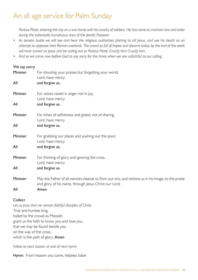*Pontius Pilate, entering the city on a war horse with his cavalry of soldiers. He has come to maintain law and order during the potentially tumultuous days of the Jewish Passover.* 

- *• As tension builds we will see and hear the religious authorities plotting to kill Jesus, and use his death as an attempt to appease their Roman overlords. The crowd so full of hopes and dreams today, by the end of the week will have turned on Jesus and be calling out to Pontius Pilate: Crucify him! Crucify him.*
- *• And so we come now before God to say sorry for the times when we are unfaithful to our calling.*

#### We say sorry

| Minister<br>All | For shouting your praises but forgetting your world,<br>Lord, have mercy.                                                          |
|-----------------|------------------------------------------------------------------------------------------------------------------------------------|
|                 | and forgive us.                                                                                                                    |
| Minister        | For voices raised in anger not in joy.<br>Lord, have mercy.                                                                        |
| All             | and forgive us.                                                                                                                    |
| Minister        | For times of selfishness and greed, not of sharing,<br>Lord, have mercy.                                                           |
| All             | and forgive us.                                                                                                                    |
| Minister        | For grabbing our places and pushing out the poor,<br>Lord, have mercy.                                                             |
| All             | and forgive us.                                                                                                                    |
| Minister        | For thinking of glory and ignoring the cross,<br>Lord, have mercy.                                                                 |
| All             | and forgive us.                                                                                                                    |
|                 |                                                                                                                                    |
| Minister        | May the Father of all mercies cleanse us from our sins, and restore us in<br>and glory of his name, through Jesus Christ our Lord. |
| All             | Amen                                                                                                                               |

#### Collect

*Let us pray that we remain faithful disciples of Christ.* True and humble king, hailed by the crowd as Messiah: grant us the faith to know you and love you, that we may be found beside you on the way of the cross, which is the path of glory. **Amen** 

*Follow to next station at end of next hymn*

Hymn: From heaven you came, helpless babe

his image, to the praise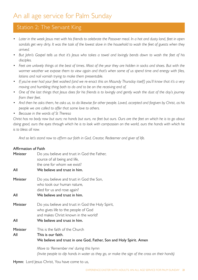### Station 2: The Servant King

- *• Later in the week Jesus met with his friends to celebrate the Passover meal. In a hot and dusty land, feet in open sandals get very dirty. It was the task of the lowest slave in the household to wash the feet of guests when they arrived.*
- *• But John's Gospel tells us that it's Jesus who takes a towel and lovingly bends down to wash the feet of his disciples.*
- *• Feet are unlovely things at the best of times. Most of the year they are hidden in socks and shoes. But with the warmer weather we expose them to view again and that's when some of us spend time and energy with files, lotions and nail varnish trying to make them presentable.*
- *• If you've ever had your feet washed (and we re-enact this on Maundy Thursday itself) you'll know that it's a very moving and humbling thing both to do and to be on the receiving end of.*
- *• One of the last things that Jesus does for his friends is to lovingly and gently wash the dust of the day's journey from their feet.*
- *• And then he asks them, he asks us, to do likewise for other people. Loved, accepted and forgiven by Christ, as his people we are called to offer that same love to others.*
- *• Because in the words of St Theresa*

*Christ has no body now but ours; no hands but ours, no feet but ours. Ours are the feet on which he is to go about doing good, ours the eyes through which he is to look with compassion on the world, ours the hands with which he is to bless all now.*

*And so let's stand now to affirm our faith in God, Creator, Redeemer and giver of life.*

### Affirmation of Faith

| Minister<br>All        | Do you believe and trust in God the Father,<br>source of all being and life,<br>the one for whom we exist?<br>We believe and trust in him.                            |
|------------------------|-----------------------------------------------------------------------------------------------------------------------------------------------------------------------|
| Minister               | Do you believe and trust in God the Son,<br>who took our human nature,<br>died for us and rose again?                                                                 |
| All                    | We believe and trust in him.                                                                                                                                          |
| Minister<br>All        | Do you believe and trust in God the Holy Spirit,<br>who gives life to the people of God<br>and makes Christ known in the world?<br>We believe and trust in him.       |
| <b>Minister</b><br>All | This is the faith of the Church<br>This is our faith.<br>We believe and trust in one God, Father, Son and Holy Spirit. Amen<br>Move to 'Remember me' during this hymn |

*(Invite people to dip hands in water as they go, or make the sign of the cross on their hands)*

Hymn: Lord Jesus Christ, You have come to us,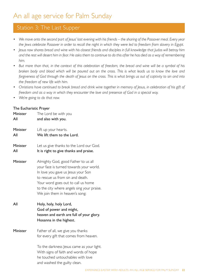### Station 3: The Last Supper

- *• We move onto the second part of Jesus' last evening with his friends the sharing of the Passover meal. Every year the Jews celebrate Passover in order to recall the night in which they were led to freedom from slavery in Egypt.*
- *• Jesus now shares bread and wine with his closest friends and disciples in full knowledge that Judas will betray him and the rest will desert him in fear. He asks them to continue to do this after he has died as a way of remembering him.*
- *• But more than that, in the context of this celebration of freedom, the bread and wine will be a symbol of his broken body and blood which will be poured out on the cross. This is what leads us to know the love and forgiveness of God through the death of Jesus on the cross. This is what brings us out of captivity to sin and into the freedom of new life with him.*
- *• Christians have continued to break bread and drink wine together in memory of Jesus, in celebration of his gift of freedom and as a way in which they encounter the love and presence of God in a special way.*
- *• We're going to do that now.*

#### The Eucharistic Prayer

| $111C$ LUCTION ISCIC 11 07 CI |                                            |
|-------------------------------|--------------------------------------------|
| Minister                      | The Lord be with you                       |
| All                           | and also with you.                         |
|                               |                                            |
|                               |                                            |
| <b>Minister</b>               | Lift up your hearts.                       |
| All                           | We lift them to the Lord.                  |
|                               |                                            |
| <b>Minister</b>               | Let us give thanks to the Lord our God.    |
| All                           | It is right to give thanks and praise.     |
|                               |                                            |
|                               |                                            |
| <b>Minister</b>               | Almighty God, good Father to us all        |
|                               | your face is turned towards your world.    |
|                               | In love you gave us Jesus your Son         |
|                               | to rescue us from sin and death.           |
|                               | Your word goes out to call us home         |
|                               |                                            |
|                               | to the city where angels sing your praise. |
|                               | We join them in heaven's song:             |
|                               |                                            |
| All                           | Holy, holy, holy Lord,                     |
|                               | God of power and might,                    |
|                               |                                            |
|                               | heaven and earth are full of your glory.   |
|                               | Hosanna in the highest.                    |
|                               |                                            |
| <b>Minister</b>               | Father of all, we give you thanks          |
|                               | for every gift that comes from heaven.     |
|                               |                                            |
|                               | To the darkness Jesus came as your light.  |
|                               |                                            |
|                               | With signs of faith and words of hope      |
|                               | he touched untouchables with love          |
|                               | and washed the guilty clean.               |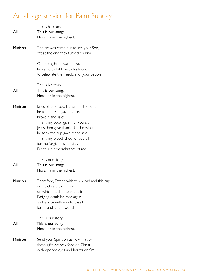| All      | This is his story<br>This is our song:<br>Hosanna in the highest.                                                                                                                                                                                                                                                        |
|----------|--------------------------------------------------------------------------------------------------------------------------------------------------------------------------------------------------------------------------------------------------------------------------------------------------------------------------|
| Minister | The crowds came out to see your Son,<br>yet at the end they turned on him.                                                                                                                                                                                                                                               |
|          | On the night he was betrayed<br>he came to table with his friends<br>to celebrate the freedom of your people.                                                                                                                                                                                                            |
| All      | This is his story.<br>This is our song:<br>Hosanna in the highest.                                                                                                                                                                                                                                                       |
| Minister | Jesus blessed you, Father, for the food,<br>he took bread, gave thanks,<br>broke it and said:<br>This is my body, given for you all.<br>Jesus then gave thanks for the wine;<br>he took the cup gave it and said:<br>This is my blood, shed for you all<br>for the forgiveness of sins.<br>Do this in remembrance of me. |
| All      | This is our story.<br>This is our song:<br>Hosanna in the highest.                                                                                                                                                                                                                                                       |
| Minister | Therefore, Father, with this bread and this cup<br>we celebrate the cross<br>on which he died to set us free.<br>Defying death he rose again<br>and is alive with you to plead<br>for us and all the world.                                                                                                              |
| All      | This is our story<br>This is our song:<br>Hosanna in the highest.                                                                                                                                                                                                                                                        |
| Minister | Send your Spirit on us now that by<br>these gifts we may feed on Christ<br>with opened eyes and hearts on fire.                                                                                                                                                                                                          |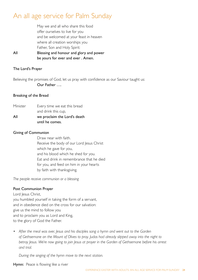May we and all who share this food offer ourselves to live for you and be welcomed at your feast in heaven where all creation worships you Father, Son and Holy Spirit: All Blessing and honour and glory and power be yours for ever and ever . Amen.

#### The Lord's Prayer

Believing the promises of God, let us pray with confidence as our Saviour taught us: Our Father ….

#### Breaking of the Bread

Minister Every time we eat this bread and drink this cup, All we proclaim the Lord's death until he comes.

#### Giving of Communion

Draw near with faith. Receive the body of our Lord Jesus Christ which he gave for you, and his blood which he shed for you. Eat and drink in remembrance that he died for you, and feed on him in your hearts by faith with thanksgiving.

*The people receive communion or a blessing*

### Post Communion Prayer

Lord Jesus Christ, you humbled yourself in taking the form of a servant, and in obedience died on the cross for our salvation: give us the mind to follow you and to proclaim you as Lord and King, to the glory of God the Father.

*• After the meal was over, Jesus and his disciples sang a hymn and went out to the Garden of Gethsemane on the Mount of Olives to pray. Judas had already slipped away into the night to betray Jesus. We're now going to join Jesus at prayer in the Garden of Gethsemane before his arrest and trial.* 

*During the singing of the hymn move to the next station.*

Hymn: Peace is flowing like a river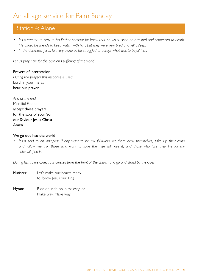### Station 4: Alone

- *• Jesus wanted to pray to his Father because he knew that he would soon be arrested and sentenced to death. He asked his friends to keep watch with him, but they were very tired and fell asleep.*
- *• In the darkness, Jesus felt very alone as he struggled to accept what was to befall him.*

*Let us pray now for the pain and suffering of the world.*

#### Prayers of Intercession

*During the prayers this response is used* Lord, in your mercy hear our prayer.

*And at the end* Merciful Father, accept these prayers for the sake of your Son, our Saviour Jesus Christ. Amen.

#### We go out into the world

*• Jesus said to his disciples: If any want to be my followers, let them deny themselves, take up their cross and follow me. For those who want to save their life will lose it; and those who lose their life for my sake will find it.*

*During hymn, we collect our crosses from the front of the church and go and stand by the cross.*

- Minister Let's make our hearts ready to follow Jesus our King
- Hymn: Ride on! ride on in majesty! or Make way! Make way!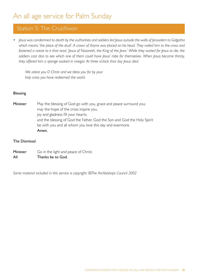### Station 5: The Crucifixion

• *Jesus was condemned to death by the authorities and soldiers led Jesus outside the walls of Jerusalem to Golgotha which means 'the place of the skull'. A crown of thorns was placed on his head. They nailed him to the cross and*  fastened a notice to it that read, 'Jesus of Nazareth, the King of the Jews.' While they waited for Jesus to die, the *soldiers cast dice to see which one of them could have Jesus' robe for themselves. When Jesus became thirsty, they offered him a sponge soaked in vinegar. At three o'clock that day Jesus died.*

*We adore you O Christ and we bless you for by your holy cross you have redeemed the world.*

#### Blessing

Minister May the blessing of God go with you, grace and peace surround you; may the hope of the cross inspire you, joy and gladness fill your hearts; and the blessing of God the Father, God the Son and God the Holy Spirit be with you and all whom you love this day and evermore. Amen.

#### The Dismissal

Minister **Go** in the light and peace of Christ. All Thanks be to God.

*Some material included in this service is copyright: ©The Archbishops Council 2002*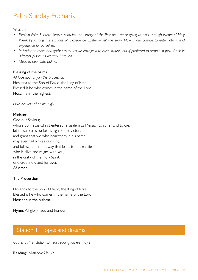*Welcome*

- *• Explain Palm Sunday: Service contains the Liturgy of the Passion we're going to walk through events of Holy Week by visiting the stations of Experience Easter – tell the story. Now is our chance to enter into it and experience for ourselves.*
- Invitation to move and gather round as we engage with each station, but if preferred to remain in pew. Or sit in *different places as we travel around.*
- *• Move to door with palms.*

#### Blessing of the palms

*All face door or join the procession* Hosanna to the Son of David, the King of Israel. Blessed is he who comes in the name of the Lord. Hosanna in the highest.

*Hold baskets of palms high*

#### Minister:

God our Saviour, whose Son Jesus Christ entered Jerusalem as Messiah to suffer and to die; let these palms be for us signs of his victory and grant that we who bear them in his name may ever hail him as our King, and follow him in the way that leads to eternal life; who is alive and reigns with you, in the unity of the Holy Spirit, one God, now and for ever. *All* Amen.

#### The Procession

Hosanna to the Son of David, the King of Israel. Blessed is he who comes in the name of the Lord. Hosanna in the highest.

Hymn: All glory, laud and honour

### Station 1: Hopes and dreams

*Gather at first station to hear reading (others may sit)*

Reading: *Matthew 21: 1-9*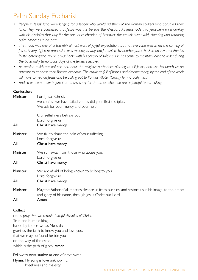- *• People in Jesus' land were longing for a leader who would rid them of the Roman soldiers who occupied their land. They were convinced that Jesus was this person, the Messiah. As Jesus rode into Jerusalem on a donkey*  with his disciples that day for the annual celebration of Passover, the crowds went wild, cheering and throwing *palm branches in his path.*
- *• The mood was one of a triumph almost won; of joyful expectation. But not everyone welcomed the coming of Jesus. A very different procession was making its way into Jerusalem by another gate: the Roman governor Pontius Pilate, entering the city on a war horse with his cavalry of soldiers. He has come to maintain law and order during the potentially tumultuous days of the Jewish Passover.*
- *• As tension builds we will see and hear the religious authorities plotting to kill Jesus, and use his death as an attempt to appease their Roman overlords. The crowd so full of hopes and dreams today, by the end of the week will have turned on Jesus and be calling out to Pontius Pilate: "Crucify him! Crucify him."*
- *• And so we come now before God to say sorry for the times when we are unfaithful to our calling.*

#### Confession:

| Minister | Lord Jesus Christ,<br>we confess we have failed you as did your first disciples.<br>We ask for your mercy and your help.                                    |
|----------|-------------------------------------------------------------------------------------------------------------------------------------------------------------|
| All      | Our selfishness betrays you:<br>Lord, forgive us.<br>Christ have mercy.                                                                                     |
| Minister | We fail to share the pain of your suffering:<br>Lord, forgive us.                                                                                           |
| All      | Christ have mercy.                                                                                                                                          |
| Minister | We run away from those who abuse you:<br>Lord, forgive us.                                                                                                  |
| All      | Christ have mercy.                                                                                                                                          |
| Minister | We are afraid of being known to belong to you:<br>Lord, forgive us.                                                                                         |
| All      | Christ have mercy.                                                                                                                                          |
| Minister | May the Father of all mercies cleanse us from our sins, and restore us in his image, to the praise<br>and glory of his name, through Jesus Christ our Lord. |
| All      | Amen                                                                                                                                                        |

### **Collect**

*Let us pray that we remain faithful disciples of Christ.* True and humble king, hailed by the crowd as Messiah: grant us the faith to know you and love you, that we may be found beside you on the way of the cross, which is the path of glory. **Amen** 

Follow to next station at end of next hymn Hymn: My song is love unknown *or* Meekness and majesty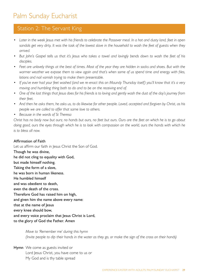### Station 2: The Servant King

- *• Later in the week Jesus met with his friends to celebrate the Passover meal. In a hot and dusty land, feet in open sandals get very dirty. It was the task of the lowest slave in the household to wash the feet of guests when they arrived.*
- *• But John's Gospel tells us that it's Jesus who takes a towel and lovingly bends down to wash the feet of his disciples.*
- *• Feet are unlovely things at the best of times. Most of the year they are hidden in socks and shoes. But with the warmer weather we expose them to view again and that's when some of us spend time and energy with files, lotions and nail varnish trying to make them presentable.*
- *• If you've ever had your feet washed (and we re-enact this on Maundy Thursday itself) you'll know that it's a very moving and humbling thing both to do and to be on the receiving end of.*
- *• One of the last things that Jesus does for his friends is to loving and gently wash the dust of the day's journey from their feet.*
- *• And then he asks them, he asks us, to do likewise for other people. Loved, accepted and forgiven by Christ, as his people we are called to offer that same love to others.*
- *• Because in the words of St Theresa*

*Christ has no body now but ours; no hands but ours, no feet but ours. Ours are the feet on which he is to go about doing good, ours the eyes through which he is to look with compassion on the world, ours the hands with which he is to bless all now.*

### Affirmation of Faith

Let us affirm our faith in Jesus Christ the Son of God. Though he was divine, he did not cling to equality with God, but made himself nothing. Taking the form of a slave, he was born in human likeness. He humbled himself and was obedient to death, even the death of the cross. Therefore God has raised him on high, and given him the name above every name: that at the name of Jesus every knee should bow, and every voice proclaim that Jesus Christ is Lord, to the glory of God the Father. Amen

> *Move to 'Remember me' during this hymn (Invite people to dip their hands in the water as they go, or make the sign of the cross on their hands)*

Hymn We come as guests invited or Lord Jesus Christ, you have come to us or My God and is thy table spread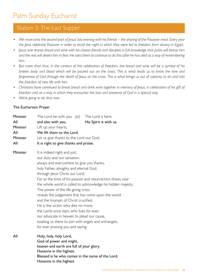### Station 3: The Last Supper

- *• We move onto the second part of Jesus' last evening with his friends the sharing of the Passover meal. Every year the Jews celebrate Passover in order to recall the night in which they were led to freedom from slavery in Egypt.*
- *• Jesus now shares bread and wine with his closest friends and disciples in full knowledge that Judas will betray him and the rest will desert him in fear. He asks them to continue to do this after he has died as a way of remembering him.*
- *• But more than that, in the context of this celebration of freedom, the bread and wine will be a symbol of his broken body and blood which will be poured out on the cross. This is what leads us to know the love and forgiveness of God through the death of Jesus on the cross. This is what brings us out of captivity to sin and into the freedom of new life with him.*
- *• Christians have continued to break bread and drink wine together in memory of Jesus, in celebration of his gift of freedom and as a way in which they encounter the love and presence of God in a special way.*
- *• We're going to do that now.*

#### The Eucharistic Prayer

| Minister<br>All<br>Minister<br>All<br>Minister<br>All | The Lord is here.<br>The Lord be with you (or)<br>and also with you.<br>His Spirit is with us.<br>Lift up your hearts.<br>We lift them to the Lord.<br>Let us give thanks to the Lord our God.<br>It is right to give thanks and praise.                                                                                                                                                                                                                                                                                                                                                                                                                                             |
|-------------------------------------------------------|--------------------------------------------------------------------------------------------------------------------------------------------------------------------------------------------------------------------------------------------------------------------------------------------------------------------------------------------------------------------------------------------------------------------------------------------------------------------------------------------------------------------------------------------------------------------------------------------------------------------------------------------------------------------------------------|
| Minister                                              | It is indeed right and just,<br>our duty and our salvation,<br>always and everywhere to give you thanks,<br>holy Father, almighty and eternal God,<br>through Jesus Christ our Lord.<br>For as the time of his passion and resurrection draws near<br>the whole world is called to acknowledge his hidden majesty.<br>The power of the life-giving cross<br>reveals the judgement that has come upon the world<br>and the triumph of Christ crucified.<br>He is the victim who dies no more,<br>the Lamb once slain, who lives for ever,<br>our advocate in heaven to plead our cause,<br>exalting us there to join with angels and archangels,<br>for ever praising you and saying: |
| All                                                   | Holy, holy, holy Lord,<br>God of power and might,<br>heaven and earth are full of your glory.<br>Hosanna in the highest.<br>Blessed is he who comes in the name of the Lord.<br>Hosanna in the highest.                                                                                                                                                                                                                                                                                                                                                                                                                                                                              |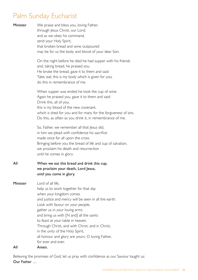| <b>Minister</b> | We praise and bless you, loving Father,<br>through Jesus Christ, our Lord;<br>and as we obey his command,<br>send your Holy Spirit,<br>that broken bread and wine outpoured<br>may be for us the body and blood of your dear Son.                                                                                                                                                                                                                                    |
|-----------------|----------------------------------------------------------------------------------------------------------------------------------------------------------------------------------------------------------------------------------------------------------------------------------------------------------------------------------------------------------------------------------------------------------------------------------------------------------------------|
|                 | On the night before he died he had supper with his friends<br>and, taking bread, he praised you.<br>He broke the bread, gave it to them and said:<br>Take, eat; this is my body which is given for you;<br>do this in remembrance of me.                                                                                                                                                                                                                             |
|                 | When supper was ended he took the cup of wine.<br>Again he praised you, gave it to them and said:<br>Drink this, all of you;<br>this is my blood of the new covenant,<br>which is shed for you and for many for the forgiveness of sins.<br>Do this, as often as you drink it, in remembrance of me.                                                                                                                                                                 |
|                 | So, Father, we remember all that Jesus did,<br>in him we plead with confidence his sacrifice<br>made once for all upon the cross.<br>Bringing before you the bread of life and cup of salvation,<br>we proclaim his death and resurrection<br>until he comes in glory.                                                                                                                                                                                               |
| All             | When we eat this bread and drink this cup,<br>we proclaim your death, Lord Jesus,<br>until you come in glory.                                                                                                                                                                                                                                                                                                                                                        |
| <b>Minister</b> | Lord of all life,<br>help us to work together for that day<br>when your kingdom comes<br>and justice and mercy will be seen in all the earth.<br>Look with favour on your people,<br>gather us in your loving arms<br>and bring us with [N and] all the saints<br>to feast at your table in heaven.<br>Through Christ, and with Christ, and in Christ,<br>in the unity of the Holy Spirit,<br>all honour and glory are yours, O loving Father,<br>for ever and ever. |
| All             | Amen.                                                                                                                                                                                                                                                                                                                                                                                                                                                                |

Believing the promises of God, let us pray with confidence as our Saviour taught us: Our Father …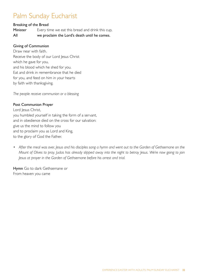#### Breaking of the Bread

Minister Every time we eat this bread and drink this cup, All we proclaim the Lord's death until he comes.

#### Giving of Communion

Draw near with faith. Receive the body of our Lord Jesus Christ which he gave for you, and his blood which he shed for you. Eat and drink in remembrance that he died for you, and feed on him in your hearts by faith with thanksgiving.

*The people receive communion or a blessing*

#### Post Communion Prayer

Lord Jesus Christ, you humbled yourself in taking the form of a servant, and in obedience died on the cross for our salvation: give us the mind to follow you and to proclaim you as Lord and King, to the glory of God the Father.

*• After the meal was over, Jesus and his disciples sang a hymn and went out to the Garden of Gethsemane on the Mount of Olives to pray. Judas has already slipped away into the night to betray Jesus. We're now going to join Jesus at prayer in the Garden of Gethsemane before his arrest and trial.* 

Hymn Go to dark Gethsemane or From heaven you came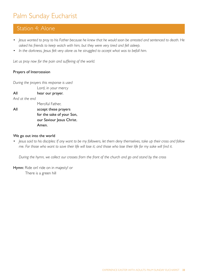### Station 4: Alone

- *• Jesus wanted to pray to his Father because he knew that he would soon be arrested and sentenced to death. He asked his friends to keep watch with him, but they were very tired and fell asleep.*
- *• In the darkness, Jesus felt very alone as he struggled to accept what was to befall him.*

*Let us pray now for the pain and suffering of the world.*

#### Prayers of Intercession

*During the prayers this response is used* Lord, in your mercy All hear our prayer. *And at the end* Merciful Father,

All accept these prayers for the sake of your Son, our Saviour Jesus Christ. Amen.

#### We go out into the world

*• Jesus said to his disciples: If any want to be my followers, let them deny themselves, take up their cross and follow me. For those who want to save their life will lose it; and those who lose their life for my sake will find it.*

*During the hymn, we collect our crosses from the front of the church and go and stand by the cross* 

Hymn: Ride on! ride on in majesty! or

There is a green hill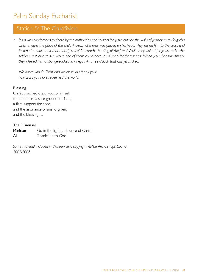### Station 5: The Crucifixion

• *Jesus was condemned to death by the authorities and soldiers led Jesus outside the walls of Jerusalem to Golgotha which means the place of the skull. A crown of thorns was placed on his head. They nailed him to the cross and fastened a notice to it that read, 'Jesus of Nazareth, the King of the Jews.' While they waited for Jesus to die, the soldiers cast dice to see which one of them could have Jesus' robe for themselves. When Jesus became thirsty, they offered him a sponge soaked in vinegar. At three o'clock that day Jesus died.*

*We adore you O Christ and we bless you for by your holy cross you have redeemed the world.*

#### Blessing

Christ crucified draw you to himself, to find in him a sure ground for faith, a firm support for hope, and the assurance of sins forgiven; and the blessing …

#### The Dismissal

Minister **Go** in the light and peace of Christ. All Thanks be to God.

*Some material included in this service is copyright: ©The Archbishops Council 2002/2006*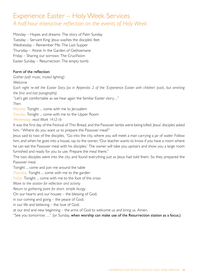## Experience Easter – Holy Week Services *A half-hour interactive reflection on the events of Holy Week*

Monday – Hopes and dreams: The story of Palm Sunday Tuesday – Servant King: Jesus washes the disciples' feet Wednesday – Remember Me: The Last Supper Thursday – Alone: In the Garden of Gethsemane Friday – Sharing our sorrows: The Crucifixion Easter Sunday – Resurrection: The empty tomb

### Form of the reflection:

*Gather (soft music, muted lighting)*

*Welcome*

*Each night re-tell the Easter Story (as in Appendix 2 of the 'Experience Easter with children' pack, but omitting the first and last paragraphs).* 

"Let's get comfortable as we hear again the familiar Easter story…"

*Then:*

*Monday:* Tonight ... come with me to Jerusalem

*Tuesday:* Tonight ... come with me to the Upper Room

*Wednesday: read Mark 14:12-16*

It was the first day of the Festival of Thin Bread, and the Passover lambs were being killed. Jesus' disciples asked him, "Where do you want us to prepare the Passover meal?"

Jesus said to two of the disciples, "Go into the city, where you will meet a man carrying a jar of water. Follow him, and when he goes into a house, say to the owner, 'Our teacher wants to know if you have a room where he can eat the Passover meal with his disciples.' The owner will take you upstairs and show you a large room furnished and ready for you to use. Prepare the meal there."

The two disciples went into the city and found everything just as Jesus had told them. So they prepared the Passover meal.

Tonight ... come and join me around the table

*Thursday:* Tonight ... come with me to the garden

*Friday:* Tonight ... come with me to the foot of the cross

*Move to the station for reflection and activity*

*Return to gathering point for short, simple liturgy.*

On our hearts and our houses – the blessing of God;

in our coming and going – the peace of God;

in our life and believing – the love of God;

at our end and new beginning – the arms of God to welcome us and bring us. Amen.

"See you tomorrow …" (or Sunday, when worship can make use of the Resurrection station as a focus.)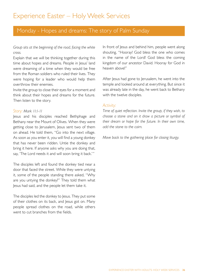### Monday - Hopes and dreams: The story of Palm Sunday

*Group sits at the beginning of the road, facing the white cross.* 

Explain that we will be thinking together during this time about hopes and dreams. People in Jesus' land were dreaming of a time when they would be free from the Roman soldiers who ruled their lives. They were hoping for a leader who would help them overthrow their enemies.

Invite the group to close their eyes for a moment and think about their hopes and dreams for the future. Then listen to the story.

#### *Story: Mark 11:1-11*

Jesus and his disciples reached Bethphage and Bethany near the Mount of Olives. When they were getting close to Jerusalem, Jesus sent two of them on ahead. He told them, "Go into the next village. As soon as you enter it, you will find a young donkey that has never been ridden. Untie the donkey and bring it here. If anyone asks why you are doing that, say, 'The Lord needs it and will soon bring it back.'"

The disciples left and found the donkey tied near a door that faced the street. While they were untying it, some of the people standing there asked, "Why are you untying the donkey?" They told them what Jesus had said, and the people let them take it.

The disciples led the donkey to Jesus. They put some of their clothes on its back, and Jesus got on. Many people spread clothes on the road, while others went to cut branches from the fields.

In front of Jesus and behind him, people went along shouting, "Hooray! God bless the one who comes in the name of the Lord! God bless the coming kingdom of our ancestor David. Hooray for God in heaven above!"

After Jesus had gone to Jerusalem, he went into the temple and looked around at everything. But since it was already late in the day, he went back to Bethany with the twelve disciples.

#### *Activity:*

*Time of quiet reflection. Invite the group, if they wish, to choose a stone and on it draw a picture or symbol of their dream or hope for the future. In their own time, add the stone to the cairn.*

*Move back to the gathering place for closing liturgy.*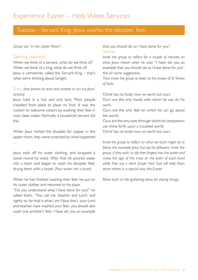### Tuesday - Servant King: Jesus washes the disciples' feet

*Group sits "in the Upper Room".* 

### *Opening questions:*

When we think of a servant, what do we think of? When we think of a king, what do we think of? Jesus is sometimes called the Servant King – that's what we're thinking about tonight.

### *Story: (one person to read and another to act out Jesus' actions)*

Jesus lived in a hot and arid land. Most people travelled from place to place on foot. It was the custom to welcome visitors by washing their feet in cool, clean water. Normally a household servant did this.

When Jesus invited the disciples for supper in the upper room, they were surprised by what happened …

Jesus took off his outer clothing, and wrapped a towel round his waist. After that he poured water into a basin and began to wash his disciples' feet, drying them with a towel. *(Pour water into a basin).*

When he had finished washing their feet, he put on his outer clothes and returned to his place.

"Do you understand what I have done for you?" he asked them, "You call me 'teacher and Lord'; and rightly so, for that is what I am. Now that I, your Lord and teacher, have washed your feet, you should also wash one another's feet. I have set you an example

#### that you should do as I have done for you". *Activity:*

*Invite the group to reflect for a couple of minutes on what Jesus meant when he said:* "I have set you an example that you should do as I have done for you". *Ask for some suggestions.*

*Then invite the group to listen to the prayer of St Teresa of Avila:*

Christ has no body now on earth but ours:

Ours are the only hands with which he can do his work,

Ours are the only feet on which he can go about the world,

Ours are the only eyes through which his compassion can shine forth upon a troubled world.

Christ has no body now on earth but ours.

*Invite the group to reflect on what we each might do to follow the example Jesus has set his followers. Invite the group, if they wish, to dip their fingers into the water and make the sign of the cross on the palm of each hand while they say a silent prayer that God will help them serve others in a special way this Easter.*

*Move back to the gathering place for closing liturgy.*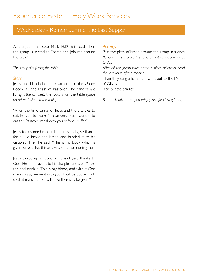# Experience Easter – Holy Week Services

### Wednesday - Remember me: the Last Supper

At the gathering place, Mark 14:12-16 is read. Then the group is invited to "come and join me around the table".

*The group sits facing the table.*

#### *Story:*

Jesus and his disciples are gathered in the Upper Room. It's the Feast of Passover. The candles are lit *(light the candles)*, the food is on the table *(place bread and wine on the table).*

When the time came for Jesus and the disciples to eat, he said to them: "I have very much wanted to eat this Passover meal with you before I suffer".

Jesus took some bread in his hands and gave thanks for it. He broke the bread and handed it to his disciples. Then he said: "This is my body, which is given for you. Eat this as a way of remembering me!"

Jesus picked up a cup of wine and gave thanks to God. He then gave it to his disciples and said: "Take this and drink it. This is my blood, and with it God makes his agreement with you. It will be poured out, so that many people will have their sins forgiven."

### *Activity:*

Pass the plate of bread around the group in silence *(leader takes a piece first and eats it to indicate what to do).*

*After all the group have eaten a piece of bread, read the last verse of the reading:*

Then they sang a hymn and went out to the Mount of Olives.

*Blow out the candles.* 

*Return silently to the gathering place for closing liturgy.*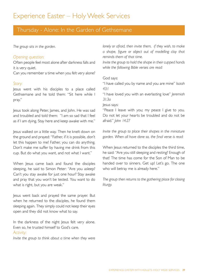### Thursday - Alone: In the Garden of Gethsemane

*The group sits in the garden.*

### *Opening question:*

Often people feel most alone after darkness falls and it is very quiet.

Can you remember a time when you felt very alone?

#### *Story:*

Jesus went with his disciples to a place called Gethsemane and he told them: "Sit here while I pray."

Jesus took along Peter, James, and John. He was sad and troubled and told them: "I am so sad that I feel as if I am dying. Stay here and keep awake with me."

Jesus walked on a little way. Then he knelt down on the ground and prayed: "Father, if it is possible, don't let this happen to me! Father, you can do anything. Don't make me suffer by having me drink from this cup. But do what you want, and not what I want."

When Jesus came back and found the disciples sleeping, he said to Simon Peter: "Are you asleep? Can't you stay awake for just one hour? Stay awake and pray that you won't be tested. You want to do what is right, but you are weak."

Jesus went back and prayed the same prayer. But when he returned to the disciples, he found them sleeping again. They simply could not keep their eyes open and they did not know what to say.

In the darkness of the night Jesus felt very alone. Even so, he trusted himself to God's care. *Activity:*

*Invite the group to think about a time when they were* 

*lonely or afraid, then invite them, if they wish, to make a shape, figure or object out of modelling clay that reminds them of that time.* 

*Invite the group to hold the shape in their cupped hands while the following Bible verses are read:*

#### God says:

"I have called you by name and you are mine" *Isaiah 43:1*

"I have loved you with an everlasting love" *Jeremiah 31:3a*

Jesus says:

"Peace I leave with you; my peace I give to you. Do not let your hearts be troubled and do not be afraid." *John 14:27*

*Invite the group to place their shapes in the miniature garden. When all have done so, the final verse is read:*

When Jesus returned to the disciples the third time, he said: "Are you still sleeping and resting? Enough of that! The time has come for the Son of Man to be handed over to sinners. Get up! Let's go. The one who will betray me is already here."

*The group then returns to the gathering place for closing liturgy.*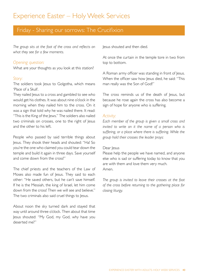### Friday - Sharing our sorrows: The Crucifixion

*The group sits at the foot of the cross and reflects on what they see for a few moments.*

### *Opening question:*

What are your thoughts as you look at this station?

### *Story:*

The soldiers took Jesus to Golgotha, which means 'Place of a Skull'.

They nailed Jesus to a cross and gambled to see who would get his clothes. It was about nine o'clock in the morning when they nailed him to the cross. On it was a sign that told why he was nailed there. It read: "This is the King of the Jews." The soldiers also nailed two criminals on crosses, one to the right of Jesus and the other to his left.

People who passed by said terrible things about Jesus. They shook their heads and shouted: "Ha! So you're the one who claimed you could tear down the temple and build it again in three days. Save yourself and come down from the cross!"

The chief priests and the teachers of the Law of Moses also made fun of Jesus. They said to each other: "He saved others, but he can't save himself. If he is the Messiah, the king of Israel, let him come down from the cross! Then we will see and believe." The two criminals also said cruel things to Jesus.

About noon the sky turned dark and stayed that way until around three o'clock. Then about that time Jesus shouted: "My God, my God, why have you deserted me?"

Jesus shouted and then died.

At once the curtain in the temple tore in two from top to bottom.

A Roman army officer was standing in front of Jesus. When the officer saw how lesus died, he said: "This man really was the Son of God!"

The cross reminds us of the death of Jesus, but because he rose again the cross has also become a sign of hope for anyone who is suffering.

### *Activity:*

*Each member of the group is given a small cross and invited to write on it the name of a person who is suffering, or a place where there is suffering. While the group hold their crosses the leader prays:*

#### Dear lesus

Please help the people we have named, and anyone else who is sad or suffering today to know that you are with them and love them very much. Amen.

*The group is invited to leave their crosses at the foot of the cross before returning to the gathering place for closing liturgy.*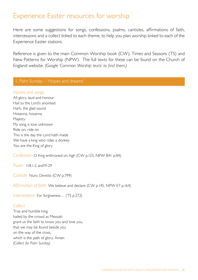Here are some suggestions for songs, confessions, psalms, canticles, affirmations of faith, intercessions and a collect linked to each theme, to help you plan worship linked to each of the Experience Easter stations.

Reference is given to the main Common Worship book (CW), Times and Seasons (TS) and New Patterns for Worship (NPW). The full texts for these can be found on the Church of England website. *(Google 'Common Worship texts' to find them.)*

### 1. Palm Sunday – 'Hopes and dreams'

#### *Hymns and songs*

All glory, laud and honour Hail to the Lord's anointed Hark, the glad sound Hosanna, hosanna Majesty My song is love unknown Ride on, ride on This is the day the Lord hath made We have a king who rides a donkey You are the King of glory

### *Confession* O King enthroned on high (CW p.125, NPW B41 p.84)

*Psalm* 118.1-2 and19-29

*Canticle* Nunc Dimittis (CW p.799)

*Affirmation of faith* We believe and declare (CW p.145, NPW E7 p.164)

*Intercessions* For forgiveness… (TS p.272)

### *Collect*

True and humble king, hailed by the crowd as Messiah: grant us the faith to know you and love you, that we may be found beside you on the way of the cross, which is the path of glory. Amen *(Collect for Palm Sunday)*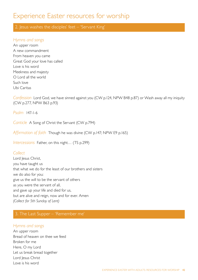### 2. Jesus washes the disciples' feet – 'Servant King'

### *Hymns and songs*

An upper room A new commandment From heaven you came Great God your love has called Love is his word Meekness and majesty O Lord all the world Such love Ubi Caritas

*Confession* Lord God, we have sinned against you (CW p.124, NPW B48 p.87) or Wash away all my iniquity (CW p.277, NPW B63 p.93)

*Psalm* 147-1-6

*Canticle* A Song of Christ the Servant (CW p.794)

*Affirmation of faith* Though he was divine (CW p.147; NPW E9 p.165)

*Intercessions* Father, on this night… (TS p.299)

### *Collect*

Lord Jesus Christ, you have taught us that what we do for the least of our brothers and sisters we do also for you: give us the will to be the servant of others as you were the servant of all, and gave up your life and died for us, but are alive and reign, now and for ever. Amen *(Collect for 5th Sunday of Lent)*

### 3. The Last Supper – 'Remember me'

#### *Hymns and songs*

An upper room Bread of heaven on thee we feed Broken for me Here, O my Lord Let us break bread together Lord Jesus Christ Love is his word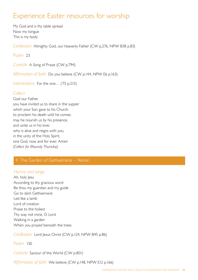My God and is thy table spread Now my tongue This is my body

*Confession* Almighty God, our heavenly Father (CW p.276, NPW B38 p.83)

*Psalm* 23

*Canticle* A Song of Praise (CW p.794)

*Affirmation of faith* Do you believe (CW p.144, NPW E6 p.163)

*Intercessions* For the one… (TS p.215)

### *Collect*

God our Father, you have invited us to share in the supper which your Son gave to his Church to proclaim his death until he comes: may he nourish us by his presence, and unite us in his love; who is alive and reigns with you, in the unity of the Holy Spirit, one God, now and for ever. Amen *(Collect for Maundy Thursday)*

### 4. The Garden of Gethsemane – 'Alone'

### *Hymns and songs*

Ah, holy Jesu According to thy gracious word Be thou my guardian and my guide Go to dark Gethsemane Led like a lamb Lord of creation Praise to the holiest Thy way not mine, O Lord Walking in a garden When you prayed beneath the trees

*Confession* Lord Jesus Christ (CW p.124, NPW B45 p.86)

*Psalm* 130

*Canticle* Saviour of the World (CW p.801)

*Affirmation of faith* We believe (CW p.148, NPW E12 p.166)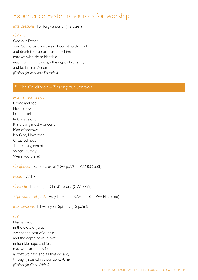*Intercessions* For forgiveness… (TS p.261)

### *Collect*

God our Father, your Son Jesus Christ was obedient to the end and drank the cup prepared for him: may we who share his table watch with him through the night of suffering and be faithful. Amen *(Collect for Maundy Thursday)*

### 5. The Crucifixion – 'Sharing our Sorrows'

### *Hymns and songs*

Come and see Here is love I cannot tell In Christ alone It is a thing most wonderful Man of sorrows My God, I love thee O sacred head There is a green hill When I survey Were you there?

*Confession* Father eternal (CW p.276, NPW B33 p.81)

*Psalm* 22.1-8

*Canticle* The Song of Christ's Glory (CW p.799)

*Affirmation of faith* Holy, holy, holy (CW p.148, NPW E11, p.166)

*Intercessions* Fill with your Spirit… (TS p.263)

### *Collect*

Eternal God, in the cross of lesus we see the cost of our sin and the depth of your love: in humble hope and fear may we place at his feet all that we have and all that we are, through Jesus Christ our Lord. Amen *(Collect for Good Friday)*